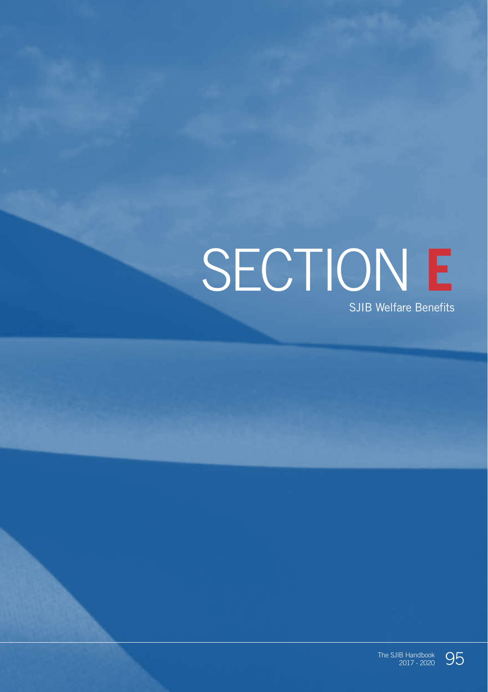# SECTION **E** SJIB Welfare Benefits

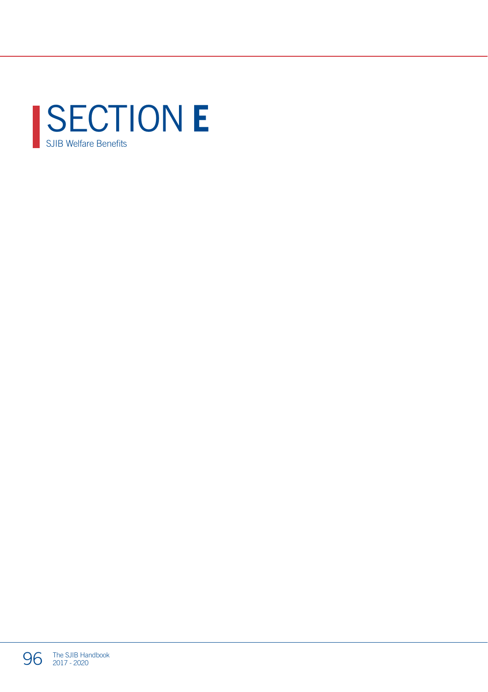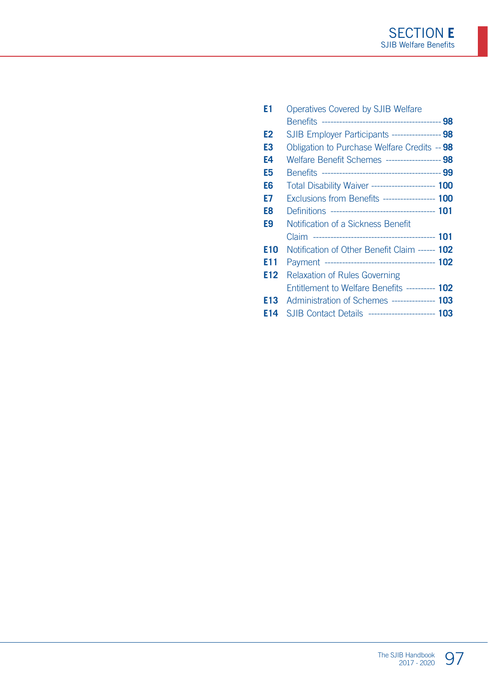| E1  | Operatives Covered by SJIB Welfare                  |  |
|-----|-----------------------------------------------------|--|
|     |                                                     |  |
| E2  | SJIB Employer Participants ----------------- 98     |  |
| E3  | Obligation to Purchase Welfare Credits -- 98        |  |
| E4  | Welfare Benefit Schemes ------------------ 98       |  |
| E5  |                                                     |  |
| E6  | Total Disability Waiver ----------------------- 100 |  |
| E7  | Exclusions from Benefits ------------------ 100     |  |
| E8  |                                                     |  |
| E9  | Notification of a Sickness Benefit                  |  |
|     |                                                     |  |
| E10 | Notification of Other Benefit Claim ------ 102      |  |
| E11 |                                                     |  |
| E12 | <b>Relaxation of Rules Governing</b>                |  |
|     | Entitlement to Welfare Benefits ---------- 102      |  |
| E13 | Administration of Schemes --------------- 103       |  |
| F14 | SJIB Contact Details ---------------------- 103     |  |
|     |                                                     |  |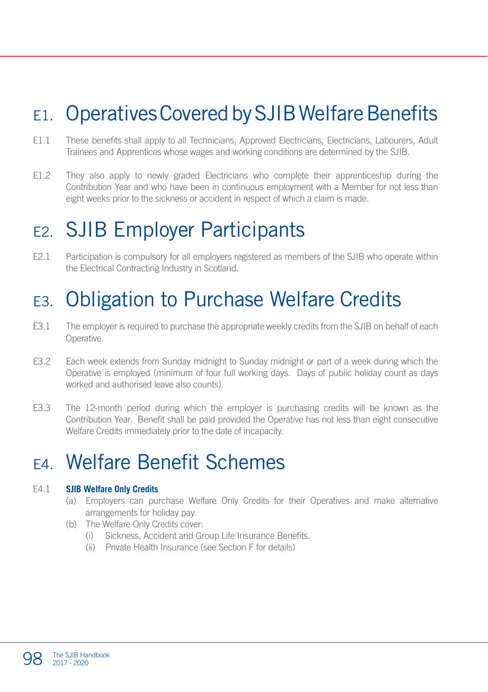# E1. Operatives Covered by SJIB Welfare Benefits

- E1.1 These benefits shall apply to all Technicians, Approved Electricians, Electricians, Labourers, Adult Trainees and Apprentices whose wages and working conditions are determined by the SJIB.
- E1.2 They also apply to newly graded Electricians who complete their apprenticeship during the Contribution Year and who have been in continuous employment with a Member for not less than eight weeks prior to the sickness or accident in respect of which a claim is made.

### E2. SJIB Employer Participants

E2.1 Participation is compulsory for all employers registered as members of the SJIB who operate within the Electrical Contracting Industry in Scotland.

# E3. Obligation to Purchase Welfare Credits

- E3.1 The employer is required to purchase the appropriate weekly credits from the SJIB on behalf of each Operative.
- E3.2 Each week extends from Sunday midnight to Sunday midnight or part of a week during which the Operative is employed (minimum of four full working days. Days of public holiday count as days worked and authorised leave also counts).
- E3.3 The 12-month period during which the employer is purchasing credits will be known as the Contribution Year. Benefit shall be paid provided the Operative has not less than eight consecutive Welfare Credits immediately prior to the date of incapacity.

### E4. Welfare Benefit Schemes

#### E4.1 **SJIB Welfare Only Credits**

- (a) Employers can purchase Welfare Only Credits for their Operatives and make alternative arrangements for holiday pay.
- (b) The Welfare Only Credits cover:
	- (i) Sickness, Accident and Group Life Insurance Benefits.
	- (ii) Private Health Insurance (see Section F for details)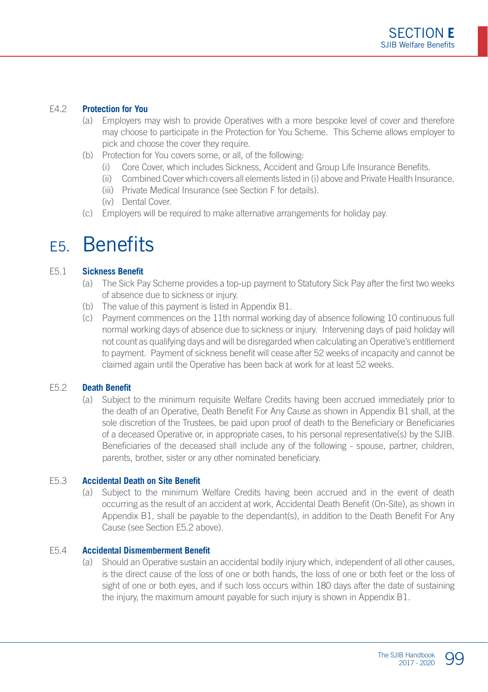#### E4.2 **Protection for You**

- (a) Employers may wish to provide Operatives with a more bespoke level of cover and therefore may choose to participate in the Protection for You Scheme. This Scheme allows employer to pick and choose the cover they require.
- (b) Protection for You covers some, or all, of the following:
	- (i) Core Cover, which includes Sickness, Accident and Group Life Insurance Benefits.
	- (ii) Combined Cover which covers all elements listed in (i) above and Private Health Insurance.
	- (iii) Private Medical Insurance (see Section F for details).
	- (iv) Dental Cover.
- (c) Employers will be required to make alternative arrangements for holiday pay.

#### E5. Benefits

#### E5.1 **Sickness Benefit**

- (a) The Sick Pay Scheme provides a top-up payment to Statutory Sick Pay after the first two weeks of absence due to sickness or injury.
- (b) The value of this payment is listed in Appendix B1.
- (c) Payment commences on the 11th normal working day of absence following 10 continuous full normal working days of absence due to sickness or injury. Intervening days of paid holiday will not count as qualifying days and will be disregarded when calculating an Operative's entitlement to payment. Payment of sickness benefit will cease after 52 weeks of incapacity and cannot be claimed again until the Operative has been back at work for at least 52 weeks.

#### E5.2 **Death Benefit**

(a) Subject to the minimum requisite Welfare Credits having been accrued immediately prior to the death of an Operative, Death Benefit For Any Cause as shown in Appendix B1 shall, at the sole discretion of the Trustees, be paid upon proof of death to the Beneficiary or Beneficiaries of a deceased Operative or, in appropriate cases, to his personal representative(s) by the SJIB. Beneficiaries of the deceased shall include any of the following - spouse, partner, children, parents, brother, sister or any other nominated beneficiary.

#### E5.3 **Accidental Death on Site Benefit**

(a) Subject to the minimum Welfare Credits having been accrued and in the event of death occurring as the result of an accident at work, Accidental Death Benefit (On-Site), as shown in Appendix B1, shall be payable to the dependant(s), in addition to the Death Benefit For Any Cause (see Section E5.2 above).

#### E5.4 **Accidental Dismemberment Benefit**

(a) Should an Operative sustain an accidental bodily injury which, independent of all other causes, is the direct cause of the loss of one or both hands, the loss of one or both feet or the loss of sight of one or both eyes, and if such loss occurs within 180 days after the date of sustaining the injury, the maximum amount payable for such injury is shown in Appendix B1.

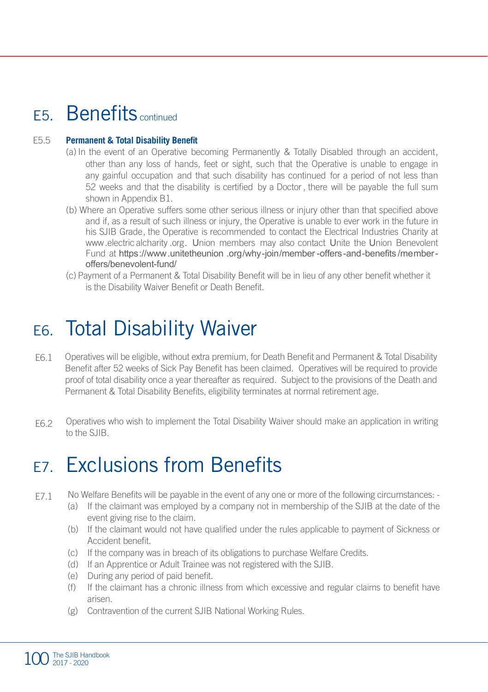### E5. Benefits continued

#### E5.5 **Permanent & Total Disability Benefit**

- (a) In the event of an Operative becoming Permanently & Totally Disabled through an accident, other than any loss of hands, feet or sight, such that the Operative is unable to engage in any gainful occupation and that such disability has continued for a period of not less than 52 weeks and that the disability is certified by a Doctor , there will be payable the full sum shown in Appendix B1.
- (b) Where an Operative suffers some other serious illness or injury other than that specified above and if, as a result of such illness or injury, the Operative is unable to ever work in the future in his SJIB Grade, the Operative is recommended to contact the Electrical Industries Charity at www.electric alcharity .org. Union members may also contact Unite the Union Benevolent Fund at https://www.unitetheunion .org/why-join/member -offers-and-benefits /memberoffers/benevolent-fund/
- (c) Payment of a Permanent & Total Disability Benefit will be in lieu of any other benefit whether it is the Disability Waiver Benefit or Death Benefit.

### E6. Total Disability Waiver

- E6.1 Operatives will be eligible, without extra premium, for Death Benefit and Permanent & Total Disability Benefit after 52 weeks of Sick Pay Benefit has been claimed. Operatives will be required to provide proof of total disability once a year thereafter as required. Subject to the provisions of the Death and Permanent & Total Disability Benefits, eligibility terminates at normal retirement age.
- E6.2 Operatives who wish to implement the Total Disability Waiver should make an application in writing to the SJIB.

### E7. Exclusions from Benefits

- E7.1 No Welfare Benefits will be payable in the event of any one or more of the following circumstances: -
	- (a) If the claimant was employed by a company not in membership of the SJIB at the date of the event giving rise to the claim.
	- (b) If the claimant would not have qualified under the rules applicable to payment of Sickness or Accident benefit.
	- (c) If the company was in breach of its obligations to purchase Welfare Credits.
	- (d) If an Apprentice or Adult Trainee was not registered with the SJIB.
	- (e) During any period of paid benefit.
	- (f) If the claimant has a chronic illness from which excessive and regular claims to benefit have arisen.
	- (g) Contravention of the current SJIB National Working Rules.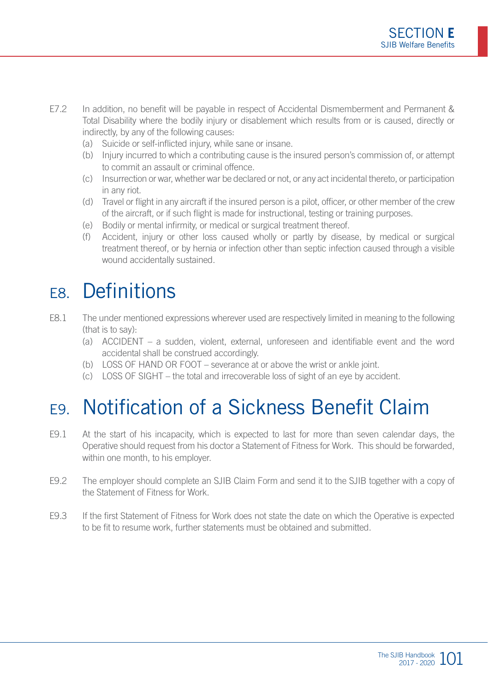- E7.2 In addition, no benefit will be payable in respect of Accidental Dismemberment and Permanent & Total Disability where the bodily injury or disablement which results from or is caused, directly or indirectly, by any of the following causes:
	- (a) Suicide or self-inflicted injury, while sane or insane.
	- (b) Injury incurred to which a contributing cause is the insured person's commission of, or attempt to commit an assault or criminal offence.
	- (c) Insurrection or war, whether war be declared or not, or any act incidental thereto, or participation in any riot.
	- (d) Travel or flight in any aircraft if the insured person is a pilot, officer, or other member of the crew of the aircraft, or if such flight is made for instructional, testing or training purposes.
	- (e) Bodily or mental infirmity, or medical or surgical treatment thereof.
	- (f) Accident, injury or other loss caused wholly or partly by disease, by medical or surgical treatment thereof, or by hernia or infection other than septic infection caused through a visible wound accidentally sustained.

### E8. Definitions

- E8.1 The under mentioned expressions wherever used are respectively limited in meaning to the following (that is to say):
	- (a) ACCIDENT a sudden, violent, external, unforeseen and identifiable event and the word accidental shall be construed accordingly.
	- (b) LOSS OF HAND OR FOOT severance at or above the wrist or ankle joint.
	- (c) LOSS OF SIGHT the total and irrecoverable loss of sight of an eye by accident.

# E9. Notification of a Sickness Benefit Claim

- E9.1 At the start of his incapacity, which is expected to last for more than seven calendar days, the Operative should request from his doctor a Statement of Fitness for Work. This should be forwarded, within one month, to his employer.
- E9.2 The employer should complete an SJIB Claim Form and send it to the SJIB together with a copy of the Statement of Fitness for Work.
- E9.3 If the first Statement of Fitness for Work does not state the date on which the Operative is expected to be fit to resume work, further statements must be obtained and submitted.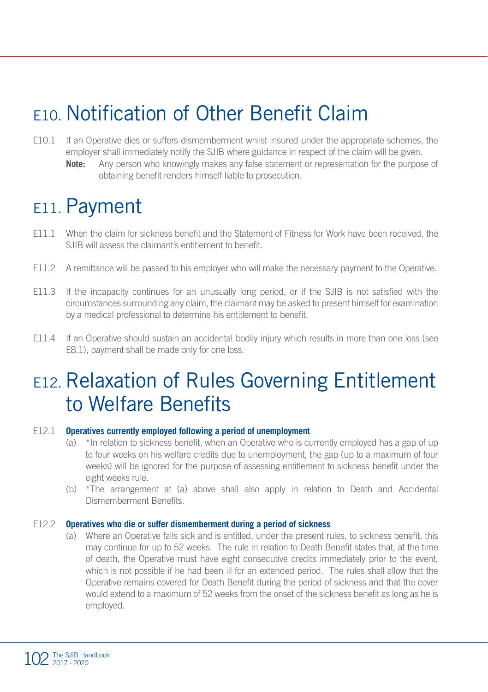# E10. Notification of Other Benefit Claim

- E10.1 If an Operative dies or suffers dismemberment whilst insured under the appropriate schemes, the employer shall immediately notify the SJIB where guidance in respect of the claim will be given.
	- **Note:** Any person who knowingly makes any false statement or representation for the purpose of obtaining benefit renders himself liable to prosecution.

### E<sub>11</sub>. Payment

- E11.1 When the claim for sickness benefit and the Statement of Fitness for Work have been received, the SJIB will assess the claimant's entitlement to benefit.
- E11.2 A remittance will be passed to his employer who will make the necessary payment to the Operative.
- E11.3 If the incapacity continues for an unusually long period, or if the SJIB is not satisfied with the circumstances surrounding any claim, the claimant may be asked to present himself for examination by a medical professional to determine his entitlement to benefit.
- E11.4 If an Operative should sustain an accidental bodily injury which results in more than one loss (see E8.1), payment shall be made only for one loss.

### E12. Relaxation of Rules Governing Entitlement to Welfare Benefits

#### E12.1 **Operatives currently employed following a period of unemployment**

- (a) \*In relation to sickness benefit, when an Operative who is currently employed has a gap of up to four weeks on his welfare credits due to unemployment, the gap (up to a maximum of four weeks) will be ignored for the purpose of assessing entitlement to sickness benefit under the eight weeks rule.
- (b) \*The arrangement at (a) above shall also apply in relation to Death and Accidental Dismemberment Benefits.

#### E12.2 **Operatives who die or suffer dismemberment during a period of sickness**

(a) Where an Operative falls sick and is entitled, under the present rules, to sickness benefit, this may continue for up to 52 weeks. The rule in relation to Death Benefit states that, at the time of death, the Operative must have eight consecutive credits immediately prior to the event, which is not possible if he had been ill for an extended period. The rules shall allow that the Operative remains covered for Death Benefit during the period of sickness and that the cover would extend to a maximum of 52 weeks from the onset of the sickness benefit as long as he is employed.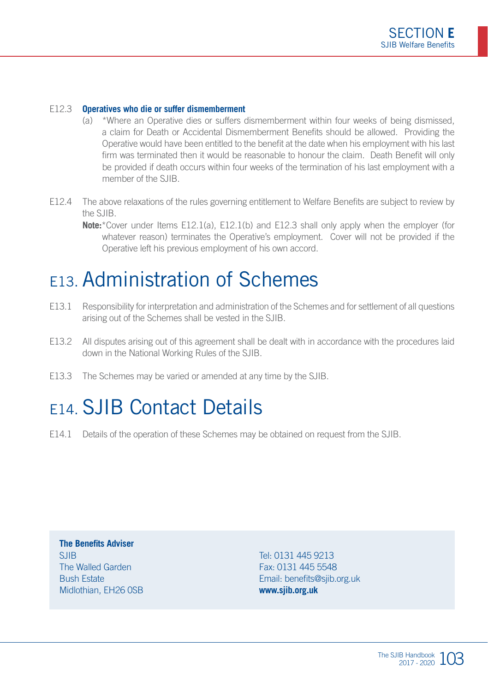#### E12.3 **Operatives who die or suffer dismemberment**

- (a) \*Where an Operative dies or suffers dismemberment within four weeks of being dismissed, a claim for Death or Accidental Dismemberment Benefits should be allowed. Providing the Operative would have been entitled to the benefit at the date when his employment with his last firm was terminated then it would be reasonable to honour the claim. Death Benefit will only be provided if death occurs within four weeks of the termination of his last employment with a member of the SJIB.
- E12.4 The above relaxations of the rules governing entitlement to Welfare Benefits are subject to review by the SJIB.
	- **Note:**\*Cover under Items E12.1(a), E12.1(b) and E12.3 shall only apply when the employer (for whatever reason) terminates the Operative's employment. Cover will not be provided if the Operative left his previous employment of his own accord.

### E13. Administration of Schemes

- E13.1 Responsibility for interpretation and administration of the Schemes and for settlement of all questions arising out of the Schemes shall be vested in the SJIB.
- E13.2 All disputes arising out of this agreement shall be dealt with in accordance with the procedures laid down in the National Working Rules of the SJIB.
- E13.3 The Schemes may be varied or amended at any time by the SJIB.

### E14. SJIB Contact Details

E14.1 Details of the operation of these Schemes may be obtained on request from the SJIB.

**The Benefits Adviser** SIIR The Walled Garden Bush Estate Midlothian, EH26 0SB

Tel: 0131 445 9213 Fax: 0131 445 5548 Email: benefits@sjib.org.uk **www.sjib.org.uk**